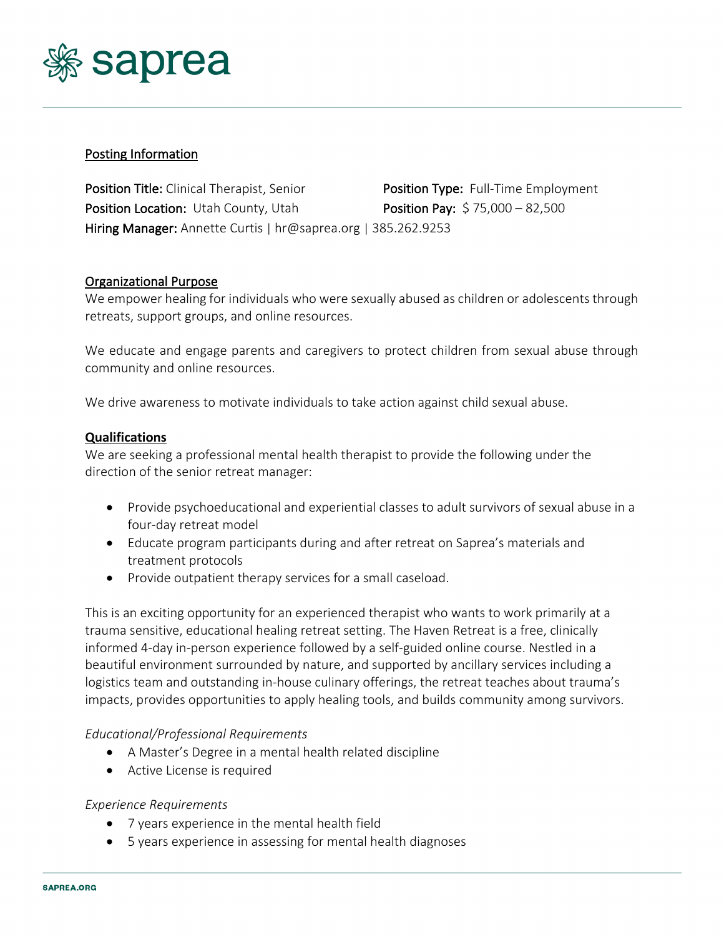

### Posting Information

Position Title: Clinical Therapist, Senior **Position Type:** Full-Time Employment Position Location: Utah County, Utah **Position Pay:** \$75,000 – 82,500 Hiring Manager: Annette Curtis | hr@saprea.org | 385.262.9253

### Organizational Purpose

We empower healing for individuals who were sexually abused as children or adolescents through retreats, support groups, and online resources.

We educate and engage parents and caregivers to protect children from sexual abuse through community and online resources.

We drive awareness to motivate individuals to take action against child sexual abuse.

#### **Qualifications**

We are seeking a professional mental health therapist to provide the following under the direction of the senior retreat manager:

- Provide psychoeducational and experiential classes to adult survivors of sexual abuse in a four-day retreat model
- Educate program participants during and after retreat on Saprea's materials and treatment protocols
- Provide outpatient therapy services for a small caseload.

This is an exciting opportunity for an experienced therapist who wants to work primarily at a trauma sensitive, educational healing retreat setting. The Haven Retreat is a free, clinically informed 4-day in-person experience followed by a self-guided online course. Nestled in a beautiful environment surrounded by nature, and supported by ancillary services including a logistics team and outstanding in-house culinary offerings, the retreat teaches about trauma's impacts, provides opportunities to apply healing tools, and builds community among survivors.

#### *Educational/Professional Requirements*

- A Master's Degree in a mental health related discipline
- Active License is required

#### *Experience Requirements*

- 7 years experience in the mental health field
- 5 years experience in assessing for mental health diagnoses